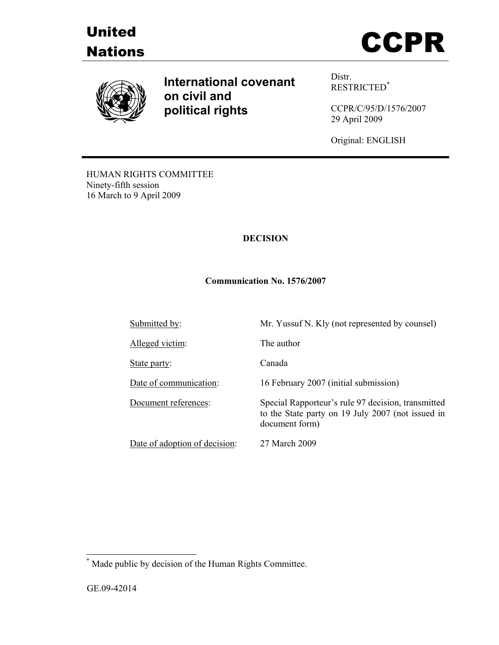





**International covenant on civil and political rights**

Distr. RESTRICTED\*

CCPR/C/95/D/1576/2007 29 April 2009

Original: ENGLISH

HUMAN RIGHTS COMMITTEE Ninety-fifth session 16 March to 9 April 2009

# **DECISION**

### **Communication No. 1576/2007**

| Submitted by:                 | Mr. Yussuf N. Kly (not represented by counsel)                                                                            |
|-------------------------------|---------------------------------------------------------------------------------------------------------------------------|
| Alleged victim:               | The author                                                                                                                |
| State party:                  | Canada                                                                                                                    |
| Date of communication:        | 16 February 2007 (initial submission)                                                                                     |
| Document references:          | Special Rapporteur's rule 97 decision, transmitted<br>to the State party on 19 July 2007 (not issued in<br>document form) |
| Date of adoption of decision: | 27 March 2009                                                                                                             |

 \* Made public by decision of the Human Rights Committee.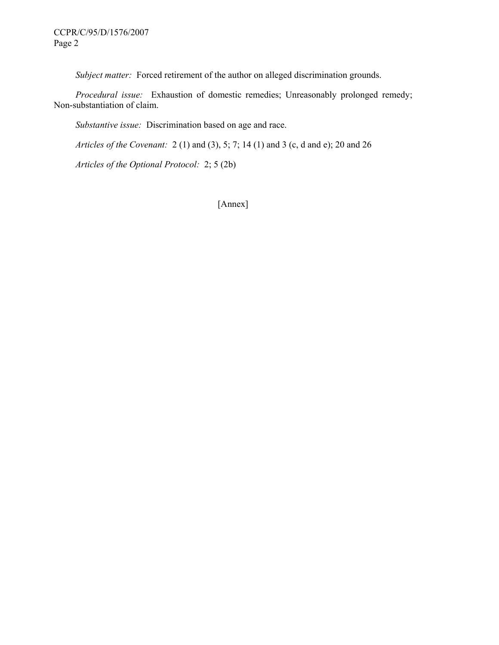*Subject matter:* Forced retirement of the author on alleged discrimination grounds.

 *Procedural issue:* Exhaustion of domestic remedies; Unreasonably prolonged remedy; Non-substantiation of claim.

 *Substantive issue:* Discrimination based on age and race.

 *Articles of the Covenant:* 2 (1) and (3), 5; 7; 14 (1) and 3 (c, d and e); 20 and 26

 *Articles of the Optional Protocol:* 2; 5 (2b)

[Annex]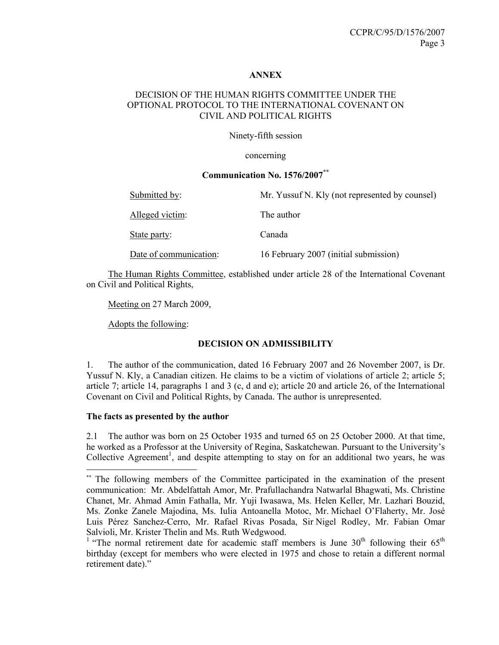#### **ANNEX**

## DECISION OF THE HUMAN RIGHTS COMMITTEE UNDER THE OPTIONAL PROTOCOL TO THE INTERNATIONAL COVENANT ON CIVIL AND POLITICAL RIGHTS

Ninety-fifth session

concerning

### **Communication No. 1576/2007\*\***

| Submitted by:          | Mr. Yussuf N. Kly (not represented by counsel) |
|------------------------|------------------------------------------------|
| Alleged victim:        | The author                                     |
| State party:           | Canada                                         |
| Date of communication: | 16 February 2007 (initial submission)          |

 The Human Rights Committee, established under article 28 of the International Covenant on Civil and Political Rights,

Meeting on 27 March 2009,

Adopts the following:

### **DECISION ON ADMISSIBILITY**

1. The author of the communication, dated 16 February 2007 and 26 November 2007, is Dr. Yussuf N. Kly, a Canadian citizen. He claims to be a victim of violations of article 2; article 5; article 7; article 14, paragraphs 1 and 3 (c, d and e); article 20 and article 26, of the International Covenant on Civil and Political Rights, by Canada. The author is unrepresented.

### **The facts as presented by the author**

 $\overline{a}$ 

2.1 The author was born on 25 October 1935 and turned 65 on 25 October 2000. At that time, he worked as a Professor at the University of Regina, Saskatchewan. Pursuant to the University's Collective Agreement<sup>1</sup>, and despite attempting to stay on for an additional two years, he was

<sup>\*\*</sup> The following members of the Committee participated in the examination of the present communication: Mr. Abdelfattah Amor, Mr. Prafullachandra Natwarlal Bhagwati, Ms. Christine Chanet, Mr. Ahmad Amin Fathalla, Mr. Yuji Iwasawa, Ms. Helen Keller, Mr. Lazhari Bouzid, Ms. Zonke Zanele Majodina, Ms. Iulia Antoanella Motoc, Mr. Michael O'Flaherty, Mr. José Luis Pérez Sanchez-Cerro, Mr. Rafael Rivas Posada, Sir Nigel Rodley, Mr. Fabian Omar Salvioli, Mr. Krister Thelin and Ms. Ruth Wedgwood.

<sup>&</sup>lt;sup>1</sup> "The normal retirement date for academic staff members is June  $30<sup>th</sup>$  following their  $65<sup>th</sup>$ birthday (except for members who were elected in 1975 and chose to retain a different normal retirement date)."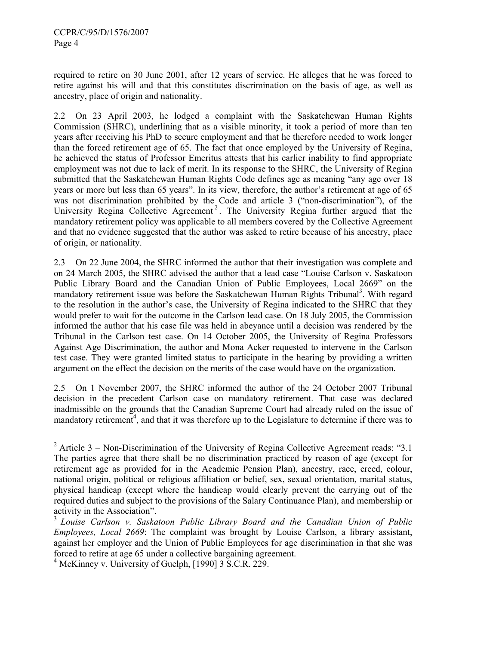required to retire on 30 June 2001, after 12 years of service. He alleges that he was forced to retire against his will and that this constitutes discrimination on the basis of age, as well as ancestry, place of origin and nationality.

2.2 On 23 April 2003, he lodged a complaint with the Saskatchewan Human Rights Commission (SHRC), underlining that as a visible minority, it took a period of more than ten years after receiving his PhD to secure employment and that he therefore needed to work longer than the forced retirement age of 65. The fact that once employed by the University of Regina, he achieved the status of Professor Emeritus attests that his earlier inability to find appropriate employment was not due to lack of merit. In its response to the SHRC, the University of Regina submitted that the Saskatchewan Human Rights Code defines age as meaning "any age over 18 years or more but less than 65 years". In its view, therefore, the author's retirement at age of 65 was not discrimination prohibited by the Code and article 3 ("non-discrimination"), of the University Regina Collective Agreement<sup>2</sup>. The University Regina further argued that the mandatory retirement policy was applicable to all members covered by the Collective Agreement and that no evidence suggested that the author was asked to retire because of his ancestry, place of origin, or nationality.

2.3 On 22 June 2004, the SHRC informed the author that their investigation was complete and on 24 March 2005, the SHRC advised the author that a lead case "Louise Carlson v. Saskatoon Public Library Board and the Canadian Union of Public Employees, Local 2669" on the mandatory retirement issue was before the Saskatchewan Human Rights Tribunal<sup>3</sup>. With regard to the resolution in the author's case, the University of Regina indicated to the SHRC that they would prefer to wait for the outcome in the Carlson lead case. On 18 July 2005, the Commission informed the author that his case file was held in abeyance until a decision was rendered by the Tribunal in the Carlson test case. On 14 October 2005, the University of Regina Professors Against Age Discrimination, the author and Mona Acker requested to intervene in the Carlson test case. They were granted limited status to participate in the hearing by providing a written argument on the effect the decision on the merits of the case would have on the organization.

2.5 On 1 November 2007, the SHRC informed the author of the 24 October 2007 Tribunal decision in the precedent Carlson case on mandatory retirement. That case was declared inadmissible on the grounds that the Canadian Supreme Court had already ruled on the issue of mandatory retirement<sup>4</sup>, and that it was therefore up to the Legislature to determine if there was to

<sup>&</sup>lt;sup>2</sup> Article 3 – Non-Discrimination of the University of Regina Collective Agreement reads: "3.1" The parties agree that there shall be no discrimination practiced by reason of age (except for retirement age as provided for in the Academic Pension Plan), ancestry, race, creed, colour, national origin, political or religious affiliation or belief, sex, sexual orientation, marital status, physical handicap (except where the handicap would clearly prevent the carrying out of the required duties and subject to the provisions of the Salary Continuance Plan), and membership or activity in the Association".

<sup>3</sup> *Louise Carlson v. Saskatoon Public Library Board and the Canadian Union of Public Employees, Local 2669*: The complaint was brought by Louise Carlson, a library assistant, against her employer and the Union of Public Employees for age discrimination in that she was forced to retire at age 65 under a collective bargaining agreement.

<sup>4</sup> McKinney v. University of Guelph, [1990] 3 S.C.R. 229.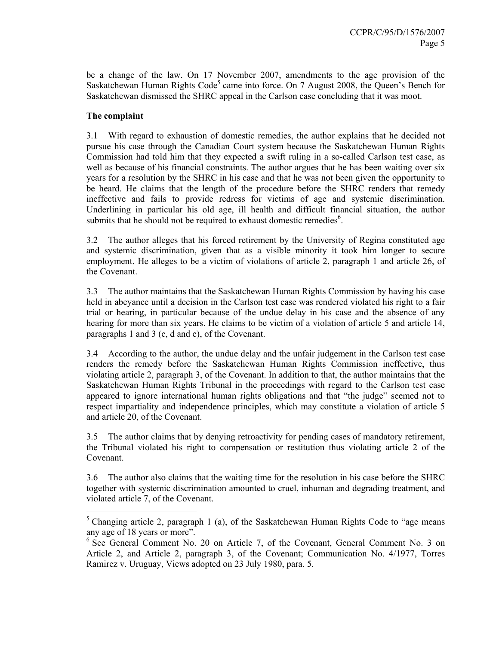be a change of the law. On 17 November 2007, amendments to the age provision of the Saskatchewan Human Rights Code<sup>5</sup> came into force. On 7 August 2008, the Queen's Bench for Saskatchewan dismissed the SHRC appeal in the Carlson case concluding that it was moot.

## **The complaint**

3.1 With regard to exhaustion of domestic remedies, the author explains that he decided not pursue his case through the Canadian Court system because the Saskatchewan Human Rights Commission had told him that they expected a swift ruling in a so-called Carlson test case, as well as because of his financial constraints. The author argues that he has been waiting over six years for a resolution by the SHRC in his case and that he was not been given the opportunity to be heard. He claims that the length of the procedure before the SHRC renders that remedy ineffective and fails to provide redress for victims of age and systemic discrimination. Underlining in particular his old age, ill health and difficult financial situation, the author submits that he should not be required to exhaust domestic remedies<sup>6</sup>.

3.2 The author alleges that his forced retirement by the University of Regina constituted age and systemic discrimination, given that as a visible minority it took him longer to secure employment. He alleges to be a victim of violations of article 2, paragraph 1 and article 26, of the Covenant.

3.3 The author maintains that the Saskatchewan Human Rights Commission by having his case held in abeyance until a decision in the Carlson test case was rendered violated his right to a fair trial or hearing, in particular because of the undue delay in his case and the absence of any hearing for more than six years. He claims to be victim of a violation of article 5 and article 14, paragraphs 1 and 3 (c, d and e), of the Covenant.

3.4 According to the author, the undue delay and the unfair judgement in the Carlson test case renders the remedy before the Saskatchewan Human Rights Commission ineffective, thus violating article 2, paragraph 3, of the Covenant. In addition to that, the author maintains that the Saskatchewan Human Rights Tribunal in the proceedings with regard to the Carlson test case appeared to ignore international human rights obligations and that "the judge" seemed not to respect impartiality and independence principles, which may constitute a violation of article 5 and article 20, of the Covenant.

3.5 The author claims that by denying retroactivity for pending cases of mandatory retirement, the Tribunal violated his right to compensation or restitution thus violating article 2 of the Covenant.

3.6 The author also claims that the waiting time for the resolution in his case before the SHRC together with systemic discrimination amounted to cruel, inhuman and degrading treatment, and violated article 7, of the Covenant.

<sup>&</sup>lt;sup>5</sup> Changing article 2, paragraph 1 (a), of the Saskatchewan Human Rights Code to "age means" any age of 18 years or more".

<sup>&</sup>lt;sup>6</sup> See General Comment No. 20 on Article 7, of the Covenant, General Comment No. 3 on Article 2, and Article 2, paragraph 3, of the Covenant; Communication No. 4/1977, Torres Ramirez v. Uruguay, Views adopted on 23 July 1980, para. 5.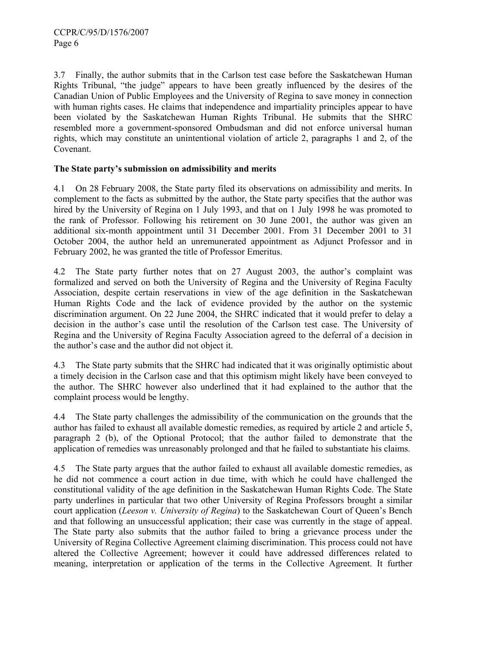3.7 Finally, the author submits that in the Carlson test case before the Saskatchewan Human Rights Tribunal, "the judge" appears to have been greatly influenced by the desires of the Canadian Union of Public Employees and the University of Regina to save money in connection with human rights cases. He claims that independence and impartiality principles appear to have been violated by the Saskatchewan Human Rights Tribunal. He submits that the SHRC resembled more a government-sponsored Ombudsman and did not enforce universal human rights, which may constitute an unintentional violation of article 2, paragraphs 1 and 2, of the Covenant.

### **The State party's submission on admissibility and merits**

4.1 On 28 February 2008, the State party filed its observations on admissibility and merits. In complement to the facts as submitted by the author, the State party specifies that the author was hired by the University of Regina on 1 July 1993, and that on 1 July 1998 he was promoted to the rank of Professor. Following his retirement on 30 June 2001, the author was given an additional six-month appointment until 31 December 2001. From 31 December 2001 to 31 October 2004, the author held an unremunerated appointment as Adjunct Professor and in February 2002, he was granted the title of Professor Emeritus.

4.2 The State party further notes that on 27 August 2003, the author's complaint was formalized and served on both the University of Regina and the University of Regina Faculty Association, despite certain reservations in view of the age definition in the Saskatchewan Human Rights Code and the lack of evidence provided by the author on the systemic discrimination argument. On 22 June 2004, the SHRC indicated that it would prefer to delay a decision in the author's case until the resolution of the Carlson test case. The University of Regina and the University of Regina Faculty Association agreed to the deferral of a decision in the author's case and the author did not object it.

4.3 The State party submits that the SHRC had indicated that it was originally optimistic about a timely decision in the Carlson case and that this optimism might likely have been conveyed to the author. The SHRC however also underlined that it had explained to the author that the complaint process would be lengthy.

4.4 The State party challenges the admissibility of the communication on the grounds that the author has failed to exhaust all available domestic remedies, as required by article 2 and article 5, paragraph 2 (b), of the Optional Protocol; that the author failed to demonstrate that the application of remedies was unreasonably prolonged and that he failed to substantiate his claims.

4.5 The State party argues that the author failed to exhaust all available domestic remedies, as he did not commence a court action in due time, with which he could have challenged the constitutional validity of the age definition in the Saskatchewan Human Rights Code. The State party underlines in particular that two other University of Regina Professors brought a similar court application (*Leeson v. University of Regina*) to the Saskatchewan Court of Queen's Bench and that following an unsuccessful application; their case was currently in the stage of appeal. The State party also submits that the author failed to bring a grievance process under the University of Regina Collective Agreement claiming discrimination. This process could not have altered the Collective Agreement; however it could have addressed differences related to meaning, interpretation or application of the terms in the Collective Agreement. It further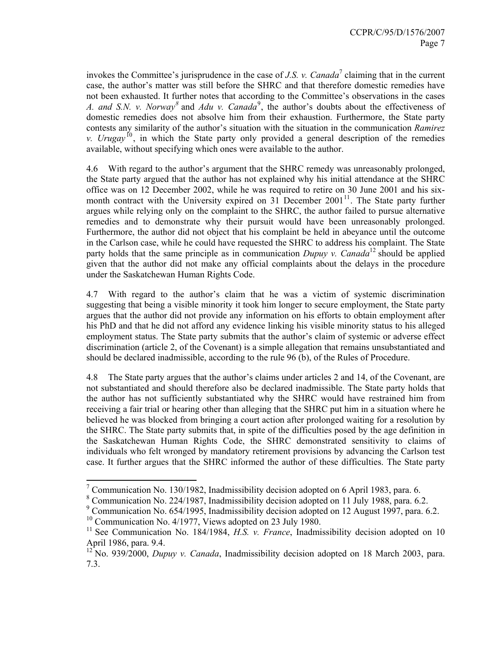invokes the Committee's jurisprudence in the case of  $J.S.$  v. Canada<sup>7</sup> claiming that in the current case, the author's matter was still before the SHRC and that therefore domestic remedies have not been exhausted. It further notes that according to the Committee's observations in the cases *A. and S.N. v. Norway*<sup>8</sup> and *Adu v. Canada*<sup>9</sup>, the author's doubts about the effectiveness of domestic remedies does not absolve him from their exhaustion. Furthermore, the State party contests any similarity of the author's situation with the situation in the communication *Ramirez v. Urugay*<sup>10</sup>, in which the State party only provided a general description of the remedies available, without specifying which ones were available to the author.

4.6 With regard to the author's argument that the SHRC remedy was unreasonably prolonged, the State party argued that the author has not explained why his initial attendance at the SHRC office was on 12 December 2002, while he was required to retire on 30 June 2001 and his sixmonth contract with the University expired on  $31$  December  $2001$ <sup>11</sup>. The State party further argues while relying only on the complaint to the SHRC, the author failed to pursue alternative remedies and to demonstrate why their pursuit would have been unreasonably prolonged. Furthermore, the author did not object that his complaint be held in abeyance until the outcome in the Carlson case, while he could have requested the SHRC to address his complaint. The State party holds that the same principle as in communication *Dupuy v. Canada*<sup>12</sup> should be applied given that the author did not make any official complaints about the delays in the procedure under the Saskatchewan Human Rights Code.

4.7 With regard to the author's claim that he was a victim of systemic discrimination suggesting that being a visible minority it took him longer to secure employment, the State party argues that the author did not provide any information on his efforts to obtain employment after his PhD and that he did not afford any evidence linking his visible minority status to his alleged employment status. The State party submits that the author's claim of systemic or adverse effect discrimination (article 2, of the Covenant) is a simple allegation that remains unsubstantiated and should be declared inadmissible, according to the rule 96 (b), of the Rules of Procedure.

4.8 The State party argues that the author's claims under articles 2 and 14, of the Covenant, are not substantiated and should therefore also be declared inadmissible. The State party holds that the author has not sufficiently substantiated why the SHRC would have restrained him from receiving a fair trial or hearing other than alleging that the SHRC put him in a situation where he believed he was blocked from bringing a court action after prolonged waiting for a resolution by the SHRC. The State party submits that, in spite of the difficulties posed by the age definition in the Saskatchewan Human Rights Code, the SHRC demonstrated sensitivity to claims of individuals who felt wronged by mandatory retirement provisions by advancing the Carlson test case. It further argues that the SHRC informed the author of these difficulties. The State party

 $\overline{a}$ 

<sup>&</sup>lt;sup>7</sup> Communication No. 130/1982, Inadmissibility decision adopted on 6 April 1983, para. 6.

<sup>8</sup> Communication No. 224/1987, Inadmissibility decision adopted on 11 July 1988, para. 6.2.

<sup>&</sup>lt;sup>9</sup> Communication No. 654/1995, Inadmissibility decision adopted on 12 August 1997, para. 6.2.

<sup>&</sup>lt;sup>10</sup> Communication No. 4/1977, Views adopted on 23 July 1980.

<sup>11</sup> See Communication No. 184/1984, *H.S. v. France*, Inadmissibility decision adopted on 10 April 1986, para. 9.4.

<sup>&</sup>lt;sup>12</sup> No. 939/2000, *Dupuy v. Canada*, Inadmissibility decision adopted on 18 March 2003, para. 7.3.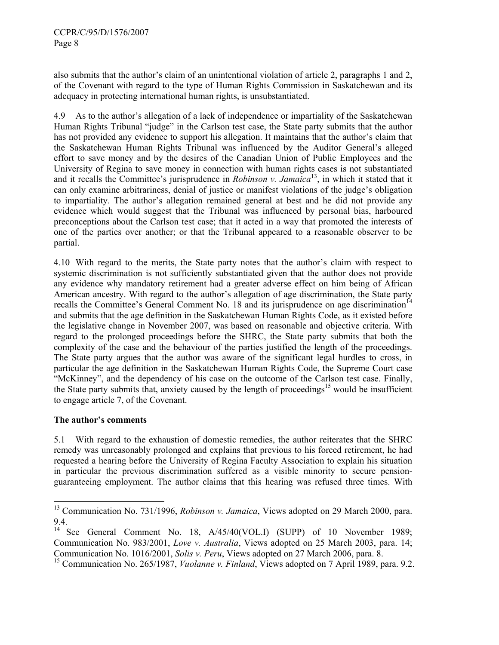also submits that the author's claim of an unintentional violation of article 2, paragraphs 1 and 2, of the Covenant with regard to the type of Human Rights Commission in Saskatchewan and its adequacy in protecting international human rights, is unsubstantiated.

4.9 As to the author's allegation of a lack of independence or impartiality of the Saskatchewan Human Rights Tribunal "judge" in the Carlson test case, the State party submits that the author has not provided any evidence to support his allegation. It maintains that the author's claim that the Saskatchewan Human Rights Tribunal was influenced by the Auditor General's alleged effort to save money and by the desires of the Canadian Union of Public Employees and the University of Regina to save money in connection with human rights cases is not substantiated and it recalls the Committee's jurisprudence in *Robinson v. Jamaica*13, in which it stated that it can only examine arbitrariness, denial of justice or manifest violations of the judge's obligation to impartiality. The author's allegation remained general at best and he did not provide any evidence which would suggest that the Tribunal was influenced by personal bias, harboured preconceptions about the Carlson test case; that it acted in a way that promoted the interests of one of the parties over another; or that the Tribunal appeared to a reasonable observer to be partial.

4.10 With regard to the merits, the State party notes that the author's claim with respect to systemic discrimination is not sufficiently substantiated given that the author does not provide any evidence why mandatory retirement had a greater adverse effect on him being of African American ancestry. With regard to the author's allegation of age discrimination, the State party recalls the Committee's General Comment No. 18 and its jurisprudence on age discrimination<sup>14</sup> and submits that the age definition in the Saskatchewan Human Rights Code, as it existed before the legislative change in November 2007, was based on reasonable and objective criteria. With regard to the prolonged proceedings before the SHRC, the State party submits that both the complexity of the case and the behaviour of the parties justified the length of the proceedings. The State party argues that the author was aware of the significant legal hurdles to cross, in particular the age definition in the Saskatchewan Human Rights Code, the Supreme Court case "McKinney", and the dependency of his case on the outcome of the Carlson test case. Finally, the State party submits that, anxiety caused by the length of proceedings<sup>15</sup> would be insufficient to engage article 7, of the Covenant.

# **The author's comments**

l

5.1 With regard to the exhaustion of domestic remedies, the author reiterates that the SHRC remedy was unreasonably prolonged and explains that previous to his forced retirement, he had requested a hearing before the University of Regina Faculty Association to explain his situation in particular the previous discrimination suffered as a visible minority to secure pensionguaranteeing employment. The author claims that this hearing was refused three times. With

<sup>13</sup> Communication No. 731/1996, *Robinson v. Jamaica*, Views adopted on 29 March 2000, para. 9.4.

<sup>&</sup>lt;sup>14</sup> See General Comment No. 18, A/45/40(VOL.I) (SUPP) of 10 November 1989; Communication No. 983/2001, *Love v. Australia*, Views adopted on 25 March 2003, para. 14; Communication No. 1016/2001, *Solis v. Peru*, Views adopted on 27 March 2006, para. 8.

<sup>&</sup>lt;sup>15</sup> Communication No. 265/1987, *Vuolanne v. Finland*, Views adopted on 7 April 1989, para. 9.2.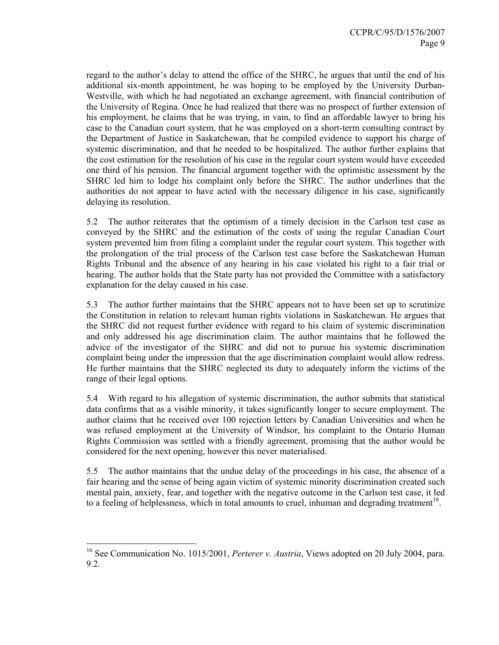regard to the author's delay to attend the office of the SHRC, he argues that until the end of his additional six-month appointment, he was hoping to be employed by the University Durban-Westville, with which he had negotiated an exchange agreement, with financial contribution of the University of Regina. Once he had realized that there was no prospect of further extension of his employment, he claims that he was trying, in vain, to find an affordable lawyer to bring his case to the Canadian court system, that he was employed on a short-term consulting contract by the Department of Justice in Saskatchewan, that he compiled evidence to support his charge of systemic discrimination, and that he needed to be hospitalized. The author further explains that the cost estimation for the resolution of his case in the regular court system would have exceeded one third of his pension. The financial argument together with the optimistic assessment by the SHRC led him to lodge his complaint only before the SHRC. The author underlines that the authorities do not appear to have acted with the necessary diligence in his case, significantly delaying its resolution.

5.2 The author reiterates that the optimism of a timely decision in the Carlson test case as conveyed by the SHRC and the estimation of the costs of using the regular Canadian Court system prevented him from filing a complaint under the regular court system. This together with the prolongation of the trial process of the Carlson test case before the Saskatchewan Human Rights Tribunal and the absence of any hearing in his case violated his right to a fair trial or hearing. The author holds that the State party has not provided the Committee with a satisfactory explanation for the delay caused in his case.

5.3 The author further maintains that the SHRC appears not to have been set up to scrutinize the Constitution in relation to relevant human rights violations in Saskatchewan. He argues that the SHRC did not request further evidence with regard to his claim of systemic discrimination and only addressed his age discrimination claim. The author maintains that he followed the advice of the investigator of the SHRC and did not to pursue his systemic discrimination complaint being under the impression that the age discrimination complaint would allow redress. He further maintains that the SHRC neglected its duty to adequately inform the victims of the range of their legal options.

5.4 With regard to his allegation of systemic discrimination, the author submits that statistical data confirms that as a visible minority, it takes significantly longer to secure employment. The author claims that he received over 100 rejection letters by Canadian Universities and when he was refused employment at the University of Windsor, his complaint to the Ontario Human Rights Commission was settled with a friendly agreement, promising that the author would be considered for the next opening, however this never materialised.

5.5 The author maintains that the undue delay of the proceedings in his case, the absence of a fair hearing and the sense of being again victim of systemic minority discrimination created such mental pain, anxiety, fear, and together with the negative outcome in the Carlson test case, it led to a feeling of helplessness, which in total amounts to cruel, inhuman and degrading treatment<sup>16</sup>.

 $\overline{a}$ 

<sup>&</sup>lt;sup>16</sup> See Communication No. 1015/2001, *Perterer v. Austria*, Views adopted on 20 July 2004, para. 9.2.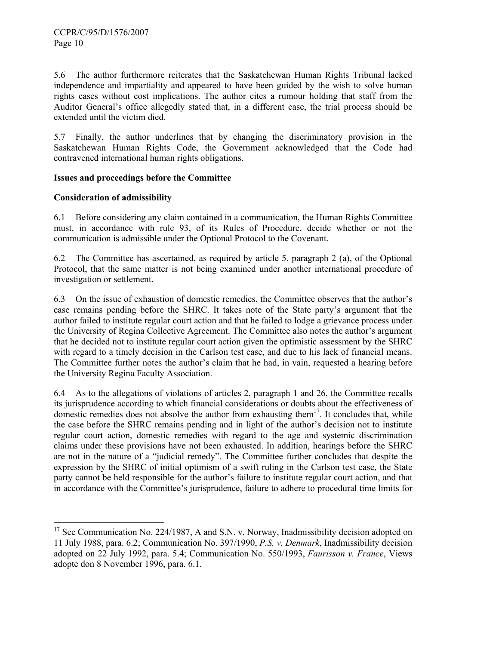5.6 The author furthermore reiterates that the Saskatchewan Human Rights Tribunal lacked independence and impartiality and appeared to have been guided by the wish to solve human rights cases without cost implications. The author cites a rumour holding that staff from the Auditor General's office allegedly stated that, in a different case, the trial process should be extended until the victim died.

5.7 Finally, the author underlines that by changing the discriminatory provision in the Saskatchewan Human Rights Code, the Government acknowledged that the Code had contravened international human rights obligations.

### **Issues and proceedings before the Committee**

# **Consideration of admissibility**

 $\overline{a}$ 

6.1 Before considering any claim contained in a communication, the Human Rights Committee must, in accordance with rule 93, of its Rules of Procedure, decide whether or not the communication is admissible under the Optional Protocol to the Covenant.

6.2 The Committee has ascertained, as required by article 5, paragraph 2 (a), of the Optional Protocol, that the same matter is not being examined under another international procedure of investigation or settlement.

6.3 On the issue of exhaustion of domestic remedies, the Committee observes that the author's case remains pending before the SHRC. It takes note of the State party's argument that the author failed to institute regular court action and that he failed to lodge a grievance process under the University of Regina Collective Agreement. The Committee also notes the author's argument that he decided not to institute regular court action given the optimistic assessment by the SHRC with regard to a timely decision in the Carlson test case, and due to his lack of financial means. The Committee further notes the author's claim that he had, in vain, requested a hearing before the University Regina Faculty Association.

6.4 As to the allegations of violations of articles 2, paragraph 1 and 26, the Committee recalls its jurisprudence according to which financial considerations or doubts about the effectiveness of domestic remedies does not absolve the author from exhausting them<sup>17</sup>. It concludes that, while the case before the SHRC remains pending and in light of the author's decision not to institute regular court action, domestic remedies with regard to the age and systemic discrimination claims under these provisions have not been exhausted. In addition, hearings before the SHRC are not in the nature of a "judicial remedy". The Committee further concludes that despite the expression by the SHRC of initial optimism of a swift ruling in the Carlson test case, the State party cannot be held responsible for the author's failure to institute regular court action, and that in accordance with the Committee's jurisprudence, failure to adhere to procedural time limits for

<sup>&</sup>lt;sup>17</sup> See Communication No. 224/1987, A and S.N. v. Norway, Inadmissibility decision adopted on 11 July 1988, para. 6.2; Communication No. 397/1990, *P.S. v. Denmark*, Inadmissibility decision adopted on 22 July 1992, para. 5.4; Communication No. 550/1993, *Faurisson v. France*, Views adopte don 8 November 1996, para. 6.1.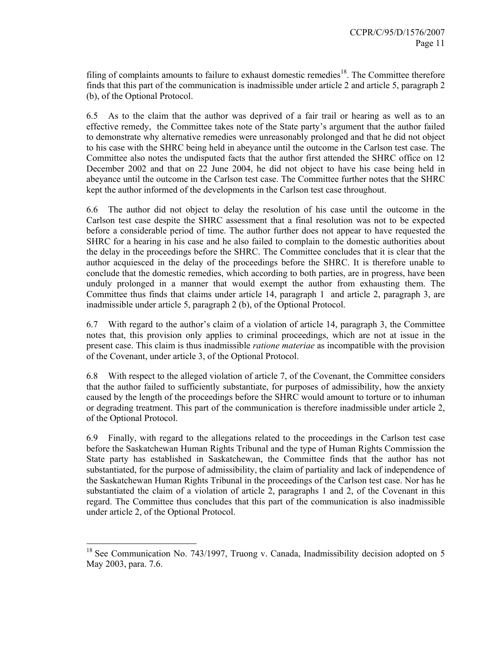filing of complaints amounts to failure to exhaust domestic remedies<sup>18</sup>. The Committee therefore finds that this part of the communication is inadmissible under article 2 and article 5, paragraph 2 (b), of the Optional Protocol.

6.5 As to the claim that the author was deprived of a fair trail or hearing as well as to an effective remedy, the Committee takes note of the State party's argument that the author failed to demonstrate why alternative remedies were unreasonably prolonged and that he did not object to his case with the SHRC being held in abeyance until the outcome in the Carlson test case. The Committee also notes the undisputed facts that the author first attended the SHRC office on 12 December 2002 and that on 22 June 2004, he did not object to have his case being held in abeyance until the outcome in the Carlson test case. The Committee further notes that the SHRC kept the author informed of the developments in the Carlson test case throughout.

6.6 The author did not object to delay the resolution of his case until the outcome in the Carlson test case despite the SHRC assessment that a final resolution was not to be expected before a considerable period of time. The author further does not appear to have requested the SHRC for a hearing in his case and he also failed to complain to the domestic authorities about the delay in the proceedings before the SHRC. The Committee concludes that it is clear that the author acquiesced in the delay of the proceedings before the SHRC. It is therefore unable to conclude that the domestic remedies, which according to both parties, are in progress, have been unduly prolonged in a manner that would exempt the author from exhausting them. The Committee thus finds that claims under article 14, paragraph 1 and article 2, paragraph 3, are inadmissible under article 5, paragraph 2 (b), of the Optional Protocol.

6.7 With regard to the author's claim of a violation of article 14, paragraph 3, the Committee notes that, this provision only applies to criminal proceedings, which are not at issue in the present case. This claim is thus inadmissible *ratione materiae* as incompatible with the provision of the Covenant, under article 3, of the Optional Protocol.

6.8 With respect to the alleged violation of article 7, of the Covenant, the Committee considers that the author failed to sufficiently substantiate, for purposes of admissibility, how the anxiety caused by the length of the proceedings before the SHRC would amount to torture or to inhuman or degrading treatment. This part of the communication is therefore inadmissible under article 2, of the Optional Protocol.

6.9 Finally, with regard to the allegations related to the proceedings in the Carlson test case before the Saskatchewan Human Rights Tribunal and the type of Human Rights Commission the State party has established in Saskatchewan, the Committee finds that the author has not substantiated, for the purpose of admissibility, the claim of partiality and lack of independence of the Saskatchewan Human Rights Tribunal in the proceedings of the Carlson test case. Nor has he substantiated the claim of a violation of article 2, paragraphs 1 and 2, of the Covenant in this regard. The Committee thus concludes that this part of the communication is also inadmissible under article 2, of the Optional Protocol.

 $\overline{a}$ 

 $18$  See Communication No. 743/1997, Truong v. Canada, Inadmissibility decision adopted on 5 May 2003, para. 7.6.